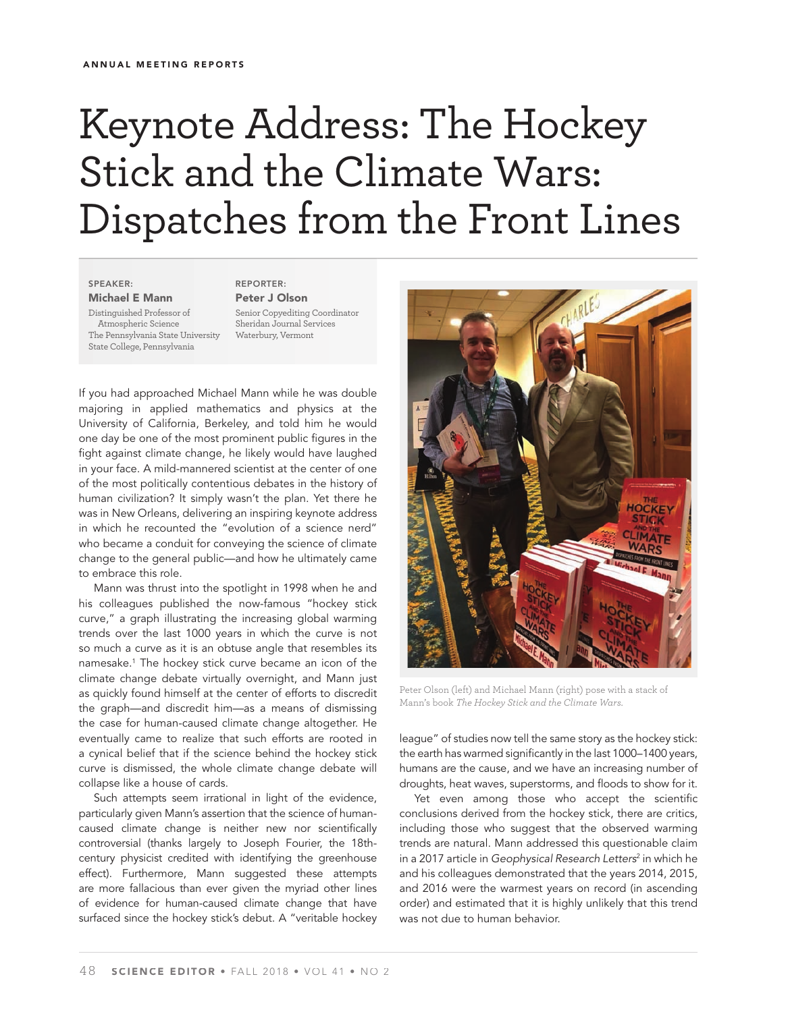## Keynote Address: The Hockey Stick and the Climate Wars: Dispatches from the Front Lines

**SPEAKER: Michael E Mann**

Distinguished Professor of Atmospheric Science The Pennsylvania State University State College, Pennsylvania

**REPORTER: Peter J Olson** Senior Copyediting Coordinator Sheridan Journal Services Waterbury, Vermont

If you had approached Michael Mann while he was double majoring in applied mathematics and physics at the University of California, Berkeley, and told him he would one day be one of the most prominent public figures in the fight against climate change, he likely would have laughed in your face. A mild-mannered scientist at the center of one of the most politically contentious debates in the history of human civilization? It simply wasn't the plan. Yet there he was in New Orleans, delivering an inspiring keynote address in which he recounted the "evolution of a science nerd" who became a conduit for conveying the science of climate change to the general public—and how he ultimately came to embrace this role.

Mann was thrust into the spotlight in 1998 when he and his colleagues published the now-famous "hockey stick curve," a graph illustrating the increasing global warming trends over the last 1000 years in which the curve is not so much a curve as it is an obtuse angle that resembles its namesake.1 The hockey stick curve became an icon of the climate change debate virtually overnight, and Mann just as quickly found himself at the center of efforts to discredit the graph—and discredit him—as a means of dismissing the case for human-caused climate change altogether. He eventually came to realize that such efforts are rooted in a cynical belief that if the science behind the hockey stick curve is dismissed, the whole climate change debate will collapse like a house of cards.

Such attempts seem irrational in light of the evidence, particularly given Mann's assertion that the science of humancaused climate change is neither new nor scientifically controversial (thanks largely to Joseph Fourier, the 18thcentury physicist credited with identifying the greenhouse effect). Furthermore, Mann suggested these attempts are more fallacious than ever given the myriad other lines of evidence for human-caused climate change that have surfaced since the hockey stick's debut. A "veritable hockey



Peter Olson (left) and Michael Mann (right) pose with a stack of Mann's book *The Hockey Stick and the Climate Wars*.

league" of studies now tell the same story as the hockey stick: the earth has warmed significantly in the last 1000-1400 years, humans are the cause, and we have an increasing number of droughts, heat waves, superstorms, and floods to show for it.

Yet even among those who accept the scientific conclusions derived from the hockey stick, there are critics, including those who suggest that the observed warming trends are natural. Mann addressed this questionable claim in a 2017 article in Geophysical Research Letters<sup>2</sup> in which he and his colleagues demonstrated that the years 2014, 2015, and 2016 were the warmest years on record (in ascending order) and estimated that it is highly unlikely that this trend was not due to human behavior.